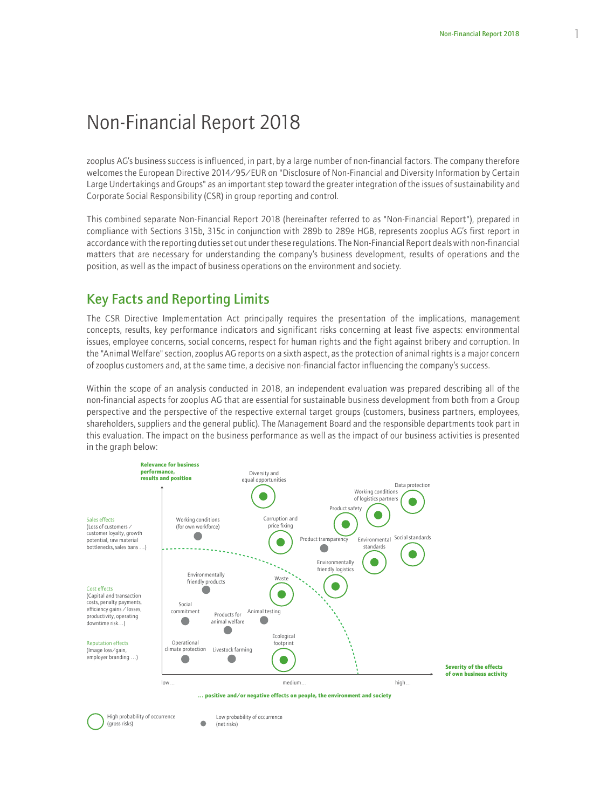# Non-Financial Report 2018

zooplus AG's business success is influenced, in part, by a large number of non-financial factors. The company therefore welcomes the European Directive 2014/95/EUR on "Disclosure of Non-Financial and Diversity Information by Certain Large Undertakings and Groups" as an important step toward the greater integration of the issues of sustainability and Corporate Social Responsibility (CSR) in group reporting and control.

This combined separate Non-Financial Report 2018 (hereinafter referred to as "Non-Financial Report"), prepared in compliance with Sections 315b, 315c in conjunction with 289b to 289e HGB, represents zooplus AG's first report in accordance with the reporting duties set out under these regulations. The Non-Financial Report deals with non-financial matters that are necessary for understanding the company's business development, results of operations and the position, as well as the impact of business operations on the environment and society.

# Key Facts and Reporting Limits

The CSR Directive Implementation Act principally requires the presentation of the implications, management concepts, results, key performance indicators and significant risks concerning at least five aspects: environmental issues, employee concerns, social concerns, respect for human rights and the fight against bribery and corruption. In the "Animal Welfare" section, zooplus AG reports on a sixth aspect, as the protection of animal rights is a major concern of zooplus customers and, at the same time, a decisive non-financial factor influencing the company's success.

Within the scope of an analysis conducted in 2018, an independent evaluation was prepared describing all of the non-financial aspects for zooplus AG that are essential for sustainable business development from both from a Group perspective and the perspective of the respective external target groups (customers, business partners, employees, shareholders, suppliers and the general public). The Management Board and the responsible departments took part in this evaluation. The impact on the business performance as well as the impact of our business activities is presented in the graph below:



High probability of occurrence (gross risks)

Low probability of occurrence (net risks)

 $\bullet$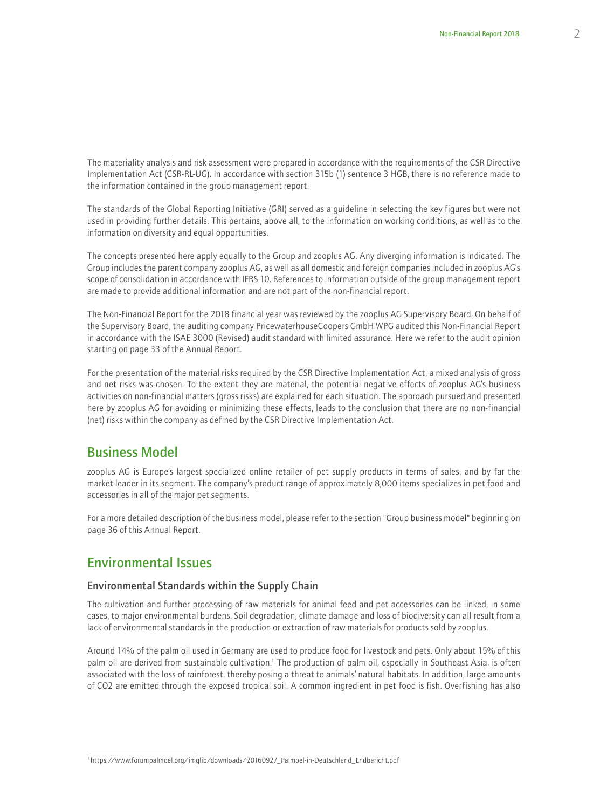The materiality analysis and risk assessment were prepared in accordance with the requirements of the CSR Directive Implementation Act (CSR-RL-UG). In accordance with section 315b (1) sentence 3 HGB, there is no reference made to the information contained in the group management report.

The standards of the Global Reporting Initiative (GRI) served as a guideline in selecting the key figures but were not used in providing further details. This pertains, above all, to the information on working conditions, as well as to the information on diversity and equal opportunities.

The concepts presented here apply equally to the Group and zooplus AG. Any diverging information is indicated. The Group includes the parent company zooplus AG, as well as all domestic and foreign companies included in zooplus AG's scope of consolidation in accordance with IFRS 10. References to information outside of the group management report are made to provide additional information and are not part of the non-financial report.

The Non-Financial Report for the 2018 financial year was reviewed by the zooplus AG Supervisory Board. On behalf of the Supervisory Board, the auditing company PricewaterhouseCoopers GmbH WPG audited this Non-Financial Report in accordance with the ISAE 3000 (Revised) audit standard with limited assurance. Here we refer to the audit opinion starting on page 33 of the Annual Report.

For the presentation of the material risks required by the CSR Directive Implementation Act, a mixed analysis of gross and net risks was chosen. To the extent they are material, the potential negative effects of zooplus AG's business activities on non-financial matters (gross risks) are explained for each situation. The approach pursued and presented here by zooplus AG for avoiding or minimizing these effects, leads to the conclusion that there are no non-financial (net) risks within the company as defined by the CSR Directive Implementation Act.

### Business Model

zooplus AG is Europe's largest specialized online retailer of pet supply products in terms of sales, and by far the market leader in its segment. The company's product range of approximately 8,000 items specializes in pet food and accessories in all of the major pet segments.

For a more detailed description of the business model, please refer to the section "Group business model" beginning on page 36 of this Annual Report.

## Environmental Issues

### Environmental Standards within the Supply Chain

The cultivation and further processing of raw materials for animal feed and pet accessories can be linked, in some cases, to major environmental burdens. Soil degradation, climate damage and loss of biodiversity can all result from a lack of environmental standards in the production or extraction of raw materials for products sold by zooplus.

Around 14% of the palm oil used in Germany are used to produce food for livestock and pets. Only about 15% of this palm oil are derived from sustainable cultivation.<sup>1</sup> The production of palm oil, especially in Southeast Asia, is often associated with the loss of rainforest, thereby posing a threat to animals' natural habitats. In addition, large amounts of CO2 are emitted through the exposed tropical soil. A common ingredient in pet food is fish. Overfishing has also

<sup>1</sup>https://www.forumpalmoel.org/imglib/downloads/20160927\_Palmoel-in-Deutschland\_Endbericht.pdf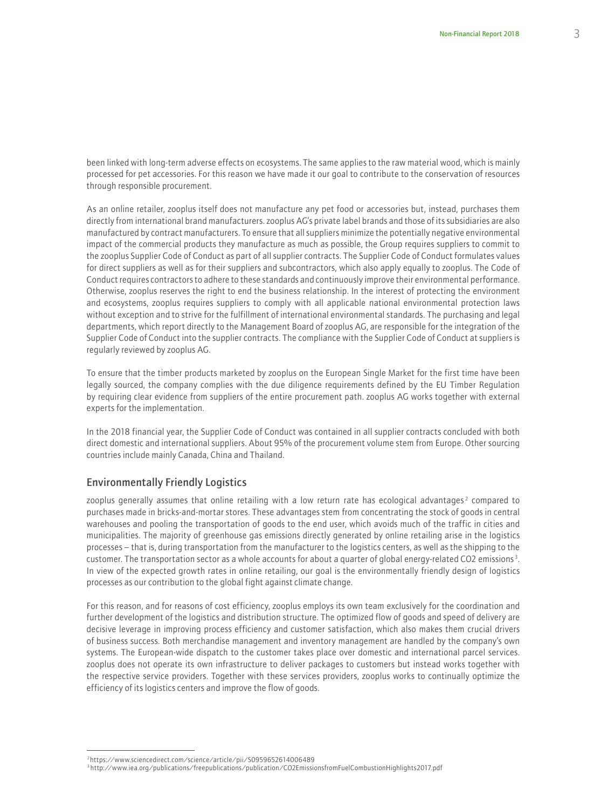been linked with long-term adverse effects on ecosystems. The same applies to the raw material wood, which is mainly processed for pet accessories. For this reason we have made it our goal to contribute to the conservation of resources through responsible procurement.

As an online retailer, zooplus itself does not manufacture any pet food or accessories but, instead, purchases them directly from international brand manufacturers. zooplus AG's private label brands and those of its subsidiaries are also manufactured by contract manufacturers. To ensure that all suppliers minimize the potentially negative environmental impact of the commercial products they manufacture as much as possible, the Group requires suppliers to commit to the zooplus Supplier Code of Conduct as part of all supplier contracts. The Supplier Code of Conduct formulates values for direct suppliers as well as for their suppliers and subcontractors, which also apply equally to zooplus. The Code of Conduct requires contractors to adhere to these standards and continuously improve their environmental performance. Otherwise, zooplus reserves the right to end the business relationship. In the interest of protecting the environment and ecosystems, zooplus requires suppliers to comply with all applicable national environmental protection laws without exception and to strive for the fulfillment of international environmental standards. The purchasing and legal departments, which report directly to the Management Board of zooplus AG, are responsible for the integration of the Supplier Code of Conduct into the supplier contracts. The compliance with the Supplier Code of Conduct at suppliers is regularly reviewed by zooplus AG.

To ensure that the timber products marketed by zooplus on the European Single Market for the first time have been legally sourced, the company complies with the due diligence requirements defined by the EU Timber Regulation by requiring clear evidence from suppliers of the entire procurement path. zooplus AG works together with external experts for the implementation.

In the 2018 financial year, the Supplier Code of Conduct was contained in all supplier contracts concluded with both direct domestic and international suppliers. About 95% of the procurement volume stem from Europe. Other sourcing countries include mainly Canada, China and Thailand.

### Environmentally Friendly Logistics

zooplus generally assumes that online retailing with a low return rate has ecological advantages<sup>2</sup> compared to purchases made in bricks-and-mortar stores. These advantages stem from concentrating the stock of goods in central warehouses and pooling the transportation of goods to the end user, which avoids much of the traffic in cities and municipalities. The majority of greenhouse gas emissions directly generated by online retailing arise in the logistics processes – that is, during transportation from the manufacturer to the logistics centers, as well as the shipping to the customer. The transportation sector as a whole accounts for about a quarter of global energy-related CO2 emissions <sup>3</sup> . In view of the expected growth rates in online retailing, our goal is the environmentally friendly design of logistics processes as our contribution to the global fight against climate change.

For this reason, and for reasons of cost efficiency, zooplus employs its own team exclusively for the coordination and further development of the logistics and distribution structure. The optimized flow of goods and speed of delivery are decisive leverage in improving process efficiency and customer satisfaction, which also makes them crucial drivers of business success. Both merchandise management and inventory management are handled by the company's own systems. The European-wide dispatch to the customer takes place over domestic and international parcel services. zooplus does not operate its own infrastructure to deliver packages to customers but instead works together with the respective service providers. Together with these services providers, zooplus works to continually optimize the efficiency of its logistics centers and improve the flow of goods.

<sup>2</sup>https://www.sciencedirect.com/science/article/pii/S0959652614006489

<sup>3</sup> http://www.iea.org/publications/freepublications/publication/CO2EmissionsfromFuelCombustionHighlights2017.pdf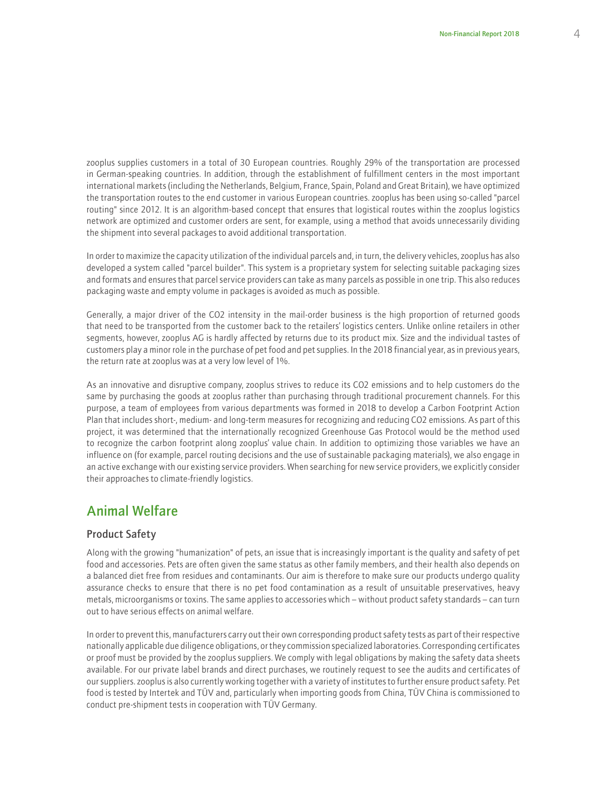zooplus supplies customers in a total of 30 European countries. Roughly 29% of the transportation are processed in German-speaking countries. In addition, through the establishment of fulfillment centers in the most important international markets (including the Netherlands, Belgium, France, Spain, Poland and Great Britain), we have optimized the transportation routes to the end customer in various European countries. zooplus has been using so-called "parcel routing" since 2012. It is an algorithm-based concept that ensures that logistical routes within the zooplus logistics network are optimized and customer orders are sent, for example, using a method that avoids unnecessarily dividing the shipment into several packages to avoid additional transportation.

In order to maximize the capacity utilization of the individual parcels and, in turn, the delivery vehicles, zooplus has also developed a system called "parcel builder". This system is a proprietary system for selecting suitable packaging sizes and formats and ensures that parcel service providers can take as many parcels as possible in one trip. This also reduces packaging waste and empty volume in packages is avoided as much as possible.

Generally, a major driver of the CO2 intensity in the mail-order business is the high proportion of returned goods that need to be transported from the customer back to the retailers' logistics centers. Unlike online retailers in other segments, however, zooplus AG is hardly affected by returns due to its product mix. Size and the individual tastes of customers play a minor role in the purchase of pet food and pet supplies. In the 2018 financial year, as in previous years, the return rate at zooplus was at a very low level of 1%.

As an innovative and disruptive company, zooplus strives to reduce its CO2 emissions and to help customers do the same by purchasing the goods at zooplus rather than purchasing through traditional procurement channels. For this purpose, a team of employees from various departments was formed in 2018 to develop a Carbon Footprint Action Plan that includes short-, medium- and long-term measures for recognizing and reducing CO2 emissions. As part of this project, it was determined that the internationally recognized Greenhouse Gas Protocol would be the method used to recognize the carbon footprint along zooplus' value chain. In addition to optimizing those variables we have an influence on (for example, parcel routing decisions and the use of sustainable packaging materials), we also engage in an active exchange with our existing service providers. When searching for new service providers, we explicitly consider their approaches to climate-friendly logistics.

# Animal Welfare

### Product Safety

Along with the growing "humanization" of pets, an issue that is increasingly important is the quality and safety of pet food and accessories. Pets are often given the same status as other family members, and their health also depends on a balanced diet free from residues and contaminants. Our aim is therefore to make sure our products undergo quality assurance checks to ensure that there is no pet food contamination as a result of unsuitable preservatives, heavy metals, microorganisms or toxins. The same applies to accessories which – without product safety standards – can turn out to have serious effects on animal welfare.

In order to prevent this, manufacturers carry out their own corresponding product safety tests as part of their respective nationally applicable due diligence obligations, or they commission specialized laboratories. Corresponding certificates or proof must be provided by the zooplus suppliers. We comply with legal obligations by making the safety data sheets available. For our private label brands and direct purchases, we routinely request to see the audits and certificates of our suppliers. zooplus is also currently working together with a variety of institutes to further ensure product safety. Pet food is tested by Intertek and TÜV and, particularly when importing goods from China, TÜV China is commissioned to conduct pre-shipment tests in cooperation with TÜV Germany.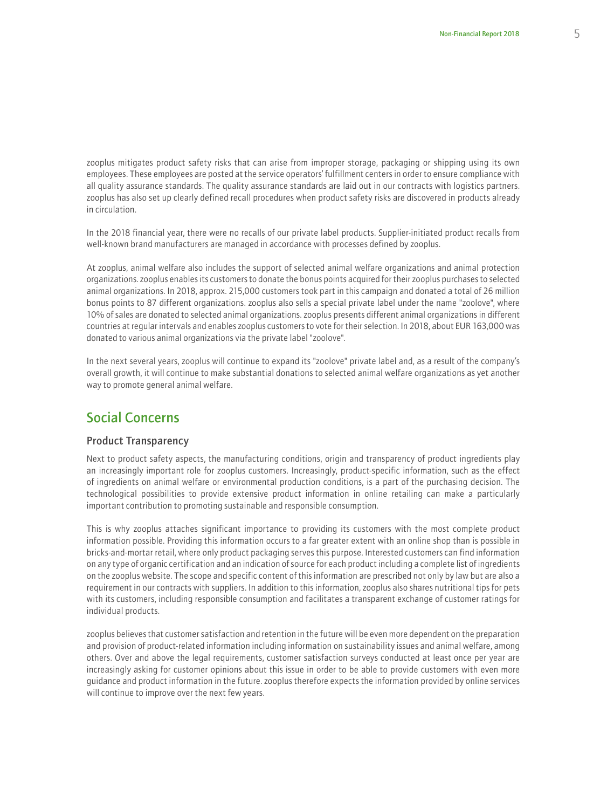zooplus mitigates product safety risks that can arise from improper storage, packaging or shipping using its own employees. These employees are posted at the service operators' fulfillment centers in order to ensure compliance with all quality assurance standards. The quality assurance standards are laid out in our contracts with logistics partners. zooplus has also set up clearly defined recall procedures when product safety risks are discovered in products already in circulation.

In the 2018 financial year, there were no recalls of our private label products. Supplier-initiated product recalls from well-known brand manufacturers are managed in accordance with processes defined by zooplus.

At zooplus, animal welfare also includes the support of selected animal welfare organizations and animal protection organizations. zooplus enables its customers to donate the bonus points acquired for their zooplus purchases to selected animal organizations. In 2018, approx. 215,000 customers took part in this campaign and donated a total of 26 million bonus points to 87 different organizations. zooplus also sells a special private label under the name "zoolove", where 10% of sales are donated to selected animal organizations. zooplus presents different animal organizations in different countries at regular intervals and enables zooplus customers to vote for their selection. In 2018, about EUR 163,000 was donated to various animal organizations via the private label "zoolove".

In the next several years, zooplus will continue to expand its "zoolove" private label and, as a result of the company's overall growth, it will continue to make substantial donations to selected animal welfare organizations as yet another way to promote general animal welfare.

# Social Concerns

#### Product Transparency

Next to product safety aspects, the manufacturing conditions, origin and transparency of product ingredients play an increasingly important role for zooplus customers. Increasingly, product-specific information, such as the effect of ingredients on animal welfare or environmental production conditions, is a part of the purchasing decision. The technological possibilities to provide extensive product information in online retailing can make a particularly important contribution to promoting sustainable and responsible consumption.

This is why zooplus attaches significant importance to providing its customers with the most complete product information possible. Providing this information occurs to a far greater extent with an online shop than is possible in bricks-and-mortar retail, where only product packaging serves this purpose. Interested customers can find information on any type of organic certification and an indication of source for each product including a complete list of ingredients on the zooplus website. The scope and specific content of this information are prescribed not only by law but are also a requirement in our contracts with suppliers. In addition to this information, zooplus also shares nutritional tips for pets with its customers, including responsible consumption and facilitates a transparent exchange of customer ratings for individual products.

zooplus believes that customer satisfaction and retention in the future will be even more dependent on the preparation and provision of product-related information including information on sustainability issues and animal welfare, among others. Over and above the legal requirements, customer satisfaction surveys conducted at least once per year are increasingly asking for customer opinions about this issue in order to be able to provide customers with even more guidance and product information in the future. zooplus therefore expects the information provided by online services will continue to improve over the next few years.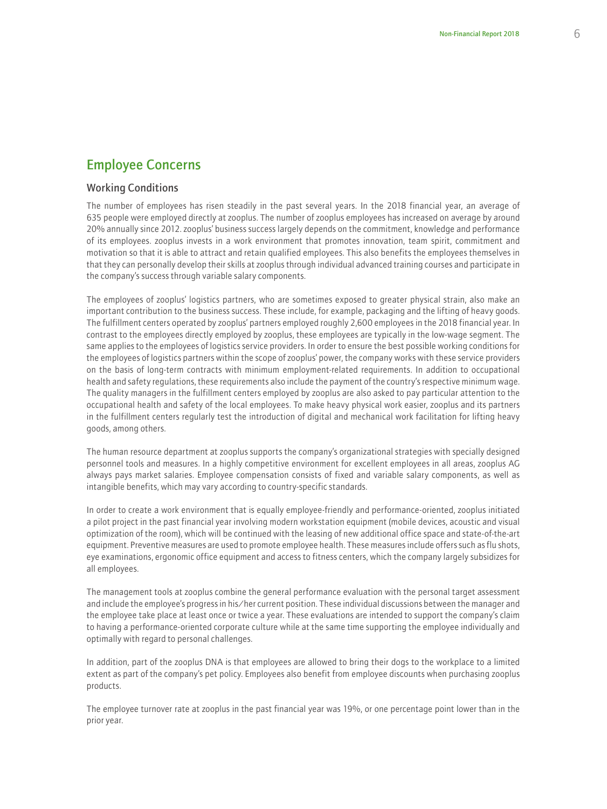# Employee Concerns

#### Working Conditions

The number of employees has risen steadily in the past several years. In the 2018 financial year, an average of 635 people were employed directly at zooplus. The number of zooplus employees has increased on average by around 20% annually since 2012. zooplus' business success largely depends on the commitment, knowledge and performance of its employees. zooplus invests in a work environment that promotes innovation, team spirit, commitment and motivation so that it is able to attract and retain qualified employees. This also benefits the employees themselves in that they can personally develop their skills at zooplus through individual advanced training courses and participate in the company's success through variable salary components.

The employees of zooplus' logistics partners, who are sometimes exposed to greater physical strain, also make an important contribution to the business success. These include, for example, packaging and the lifting of heavy goods. The fulfillment centers operated by zooplus' partners employed roughly 2,600 employees in the 2018 financial year. In contrast to the employees directly employed by zooplus, these employees are typically in the low-wage segment. The same applies to the employees of logistics service providers. In order to ensure the best possible working conditions for the employees of logistics partners within the scope of zooplus' power, the company works with these service providers on the basis of long-term contracts with minimum employment-related requirements. In addition to occupational health and safety regulations, these requirements also include the payment of the country's respective minimum wage. The quality managers in the fulfillment centers employed by zooplus are also asked to pay particular attention to the occupational health and safety of the local employees. To make heavy physical work easier, zooplus and its partners in the fulfillment centers regularly test the introduction of digital and mechanical work facilitation for lifting heavy goods, among others.

The human resource department at zooplus supports the company's organizational strategies with specially designed personnel tools and measures. In a highly competitive environment for excellent employees in all areas, zooplus AG always pays market salaries. Employee compensation consists of fixed and variable salary components, as well as intangible benefits, which may vary according to country-specific standards.

In order to create a work environment that is equally employee-friendly and performance-oriented, zooplus initiated a pilot project in the past financial year involving modern workstation equipment (mobile devices, acoustic and visual optimization of the room), which will be continued with the leasing of new additional office space and state-of-the-art equipment. Preventive measures are used to promote employee health. These measures include offers such as flu shots, eye examinations, ergonomic office equipment and access to fitness centers, which the company largely subsidizes for all employees.

The management tools at zooplus combine the general performance evaluation with the personal target assessment and include the employee's progress in his/her current position. These individual discussions between the manager and the employee take place at least once or twice a year. These evaluations are intended to support the company's claim to having a performance-oriented corporate culture while at the same time supporting the employee individually and optimally with regard to personal challenges.

In addition, part of the zooplus DNA is that employees are allowed to bring their dogs to the workplace to a limited extent as part of the company's pet policy. Employees also benefit from employee discounts when purchasing zooplus products.

The employee turnover rate at zooplus in the past financial year was 19%, or one percentage point lower than in the prior year.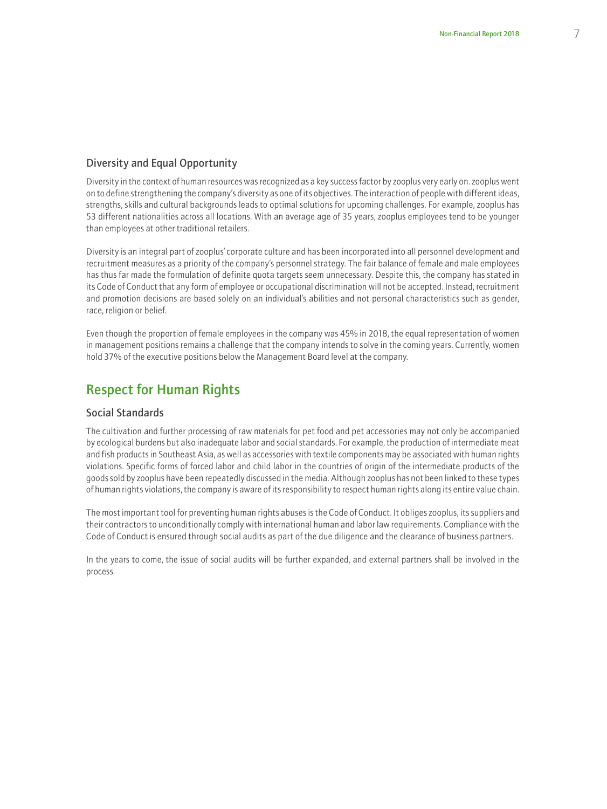### Diversity and Equal Opportunity

Diversity in the context of human resources was recognized as a key success factor by zooplus very early on. zooplus went on to define strengthening the company's diversity as one of its objectives. The interaction of people with different ideas, strengths, skills and cultural backgrounds leads to optimal solutions for upcoming challenges. For example, zooplus has 53 different nationalities across all locations. With an average age of 35 years, zooplus employees tend to be younger than employees at other traditional retailers.

Diversity is an integral part of zooplus' corporate culture and has been incorporated into all personnel development and recruitment measures as a priority of the company's personnel strategy. The fair balance of female and male employees has thus far made the formulation of definite quota targets seem unnecessary. Despite this, the company has stated in its Code of Conduct that any form of employee or occupational discrimination will not be accepted. Instead, recruitment and promotion decisions are based solely on an individual's abilities and not personal characteristics such as gender, race, religion or belief.

Even though the proportion of female employees in the company was 45% in 2018, the equal representation of women in management positions remains a challenge that the company intends to solve in the coming years. Currently, women hold 37% of the executive positions below the Management Board level at the company.

### Respect for Human Rights

#### Social Standards

The cultivation and further processing of raw materials for pet food and pet accessories may not only be accompanied by ecological burdens but also inadequate labor and social standards. For example, the production of intermediate meat and fish products in Southeast Asia, as well as accessories with textile components may be associated with human rights violations. Specific forms of forced labor and child labor in the countries of origin of the intermediate products of the goods sold by zooplus have been repeatedly discussed in the media. Although zooplus has not been linked to these types of human rights violations, the company is aware of its responsibility to respect human rights along its entire value chain.

The most important tool for preventing human rights abuses is the Code of Conduct. It obliges zooplus, its suppliers and their contractors to unconditionally comply with international human and labor law requirements. Compliance with the Code of Conduct is ensured through social audits as part of the due diligence and the clearance of business partners.

In the years to come, the issue of social audits will be further expanded, and external partners shall be involved in the process.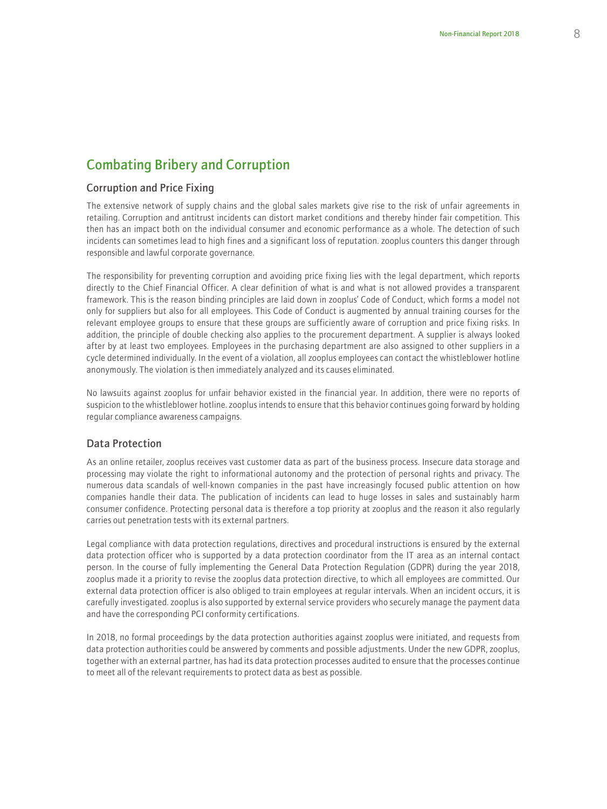# Combating Bribery and Corruption

#### Corruption and Price Fixing

The extensive network of supply chains and the global sales markets give rise to the risk of unfair agreements in retailing. Corruption and antitrust incidents can distort market conditions and thereby hinder fair competition. This then has an impact both on the individual consumer and economic performance as a whole. The detection of such incidents can sometimes lead to high fines and a significant loss of reputation. zooplus counters this danger through responsible and lawful corporate governance.

The responsibility for preventing corruption and avoiding price fixing lies with the legal department, which reports directly to the Chief Financial Officer. A clear definition of what is and what is not allowed provides a transparent framework. This is the reason binding principles are laid down in zooplus' Code of Conduct, which forms a model not only for suppliers but also for all employees. This Code of Conduct is augmented by annual training courses for the relevant employee groups to ensure that these groups are sufficiently aware of corruption and price fixing risks. In addition, the principle of double checking also applies to the procurement department. A supplier is always looked after by at least two employees. Employees in the purchasing department are also assigned to other suppliers in a cycle determined individually. In the event of a violation, all zooplus employees can contact the whistleblower hotline anonymously. The violation is then immediately analyzed and its causes eliminated.

No lawsuits against zooplus for unfair behavior existed in the financial year. In addition, there were no reports of suspicion to the whistleblower hotline. zooplus intends to ensure that this behavior continues going forward by holding regular compliance awareness campaigns.

### Data Protection

As an online retailer, zooplus receives vast customer data as part of the business process. Insecure data storage and processing may violate the right to informational autonomy and the protection of personal rights and privacy. The numerous data scandals of well-known companies in the past have increasingly focused public attention on how companies handle their data. The publication of incidents can lead to huge losses in sales and sustainably harm consumer confidence. Protecting personal data is therefore a top priority at zooplus and the reason it also regularly carries out penetration tests with its external partners.

Legal compliance with data protection regulations, directives and procedural instructions is ensured by the external data protection officer who is supported by a data protection coordinator from the IT area as an internal contact person. In the course of fully implementing the General Data Protection Regulation (GDPR) during the year 2018, zooplus made it a priority to revise the zooplus data protection directive, to which all employees are committed. Our external data protection officer is also obliged to train employees at regular intervals. When an incident occurs, it is carefully investigated. zooplus is also supported by external service providers who securely manage the payment data and have the corresponding PCI conformity certifications.

In 2018, no formal proceedings by the data protection authorities against zooplus were initiated, and requests from data protection authorities could be answered by comments and possible adjustments. Under the new GDPR, zooplus, together with an external partner, has had its data protection processes audited to ensure that the processes continue to meet all of the relevant requirements to protect data as best as possible.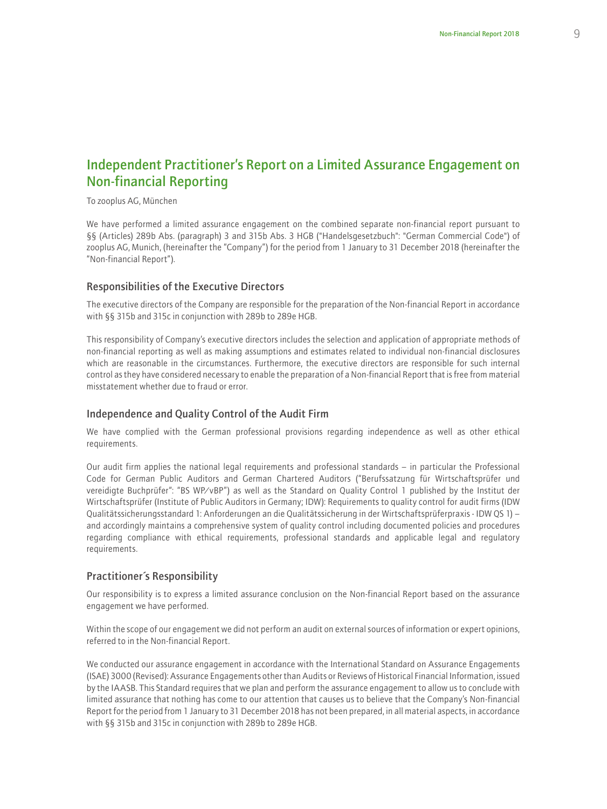# Independent Practitioner's Report on a Limited Assurance Engagement on Non-financial Reporting

To zooplus AG, München

We have performed a limited assurance engagement on the combined separate non-financial report pursuant to §§ (Articles) 289b Abs. (paragraph) 3 and 315b Abs. 3 HGB ("Handelsgesetzbuch": "German Commercial Code") of zooplus AG, Munich, (hereinafter the "Company") for the period from 1 January to 31 December 2018 (hereinafter the "Non-financial Report").

#### Responsibilities of the Executive Directors

The executive directors of the Company are responsible for the preparation of the Non-financial Report in accordance with §§ 315b and 315c in conjunction with 289b to 289e HGB.

This responsibility of Company's executive directors includes the selection and application of appropriate methods of non-financial reporting as well as making assumptions and estimates related to individual non-financial disclosures which are reasonable in the circumstances. Furthermore, the executive directors are responsible for such internal control as they have considered necessary to enable the preparation of a Non-financial Report that is free from material misstatement whether due to fraud or error.

#### Independence and Quality Control of the Audit Firm

We have complied with the German professional provisions regarding independence as well as other ethical requirements.

Our audit firm applies the national legal requirements and professional standards – in particular the Professional Code for German Public Auditors and German Chartered Auditors ("Berufssatzung für Wirtschaftsprüfer und vereidigte Buchprüfer": "BS WP/vBP") as well as the Standard on Quality Control 1 published by the Institut der Wirtschaftsprüfer (Institute of Public Auditors in Germany; IDW): Requirements to quality control for audit firms (IDW Qualitätssicherungsstandard 1: Anforderungen an die Qualitätssicherung in der Wirtschaftsprüferpraxis - IDW QS 1) – and accordingly maintains a comprehensive system of quality control including documented policies and procedures regarding compliance with ethical requirements, professional standards and applicable legal and regulatory requirements.

#### Practitioner´s Responsibility

Our responsibility is to express a limited assurance conclusion on the Non-financial Report based on the assurance engagement we have performed.

Within the scope of our engagement we did not perform an audit on external sources of information or expert opinions, referred to in the Non-financial Report.

We conducted our assurance engagement in accordance with the International Standard on Assurance Engagements (ISAE) 3000 (Revised): Assurance Engagements other than Audits or Reviews of Historical Financial Information, issued by the IAASB. This Standard requires that we plan and perform the assurance engagement to allow us to conclude with limited assurance that nothing has come to our attention that causes us to believe that the Company's Non-financial Report for the period from 1 January to 31 December 2018 has not been prepared, in all material aspects, in accordance with §§ 315b and 315c in conjunction with 289b to 289e HGB.